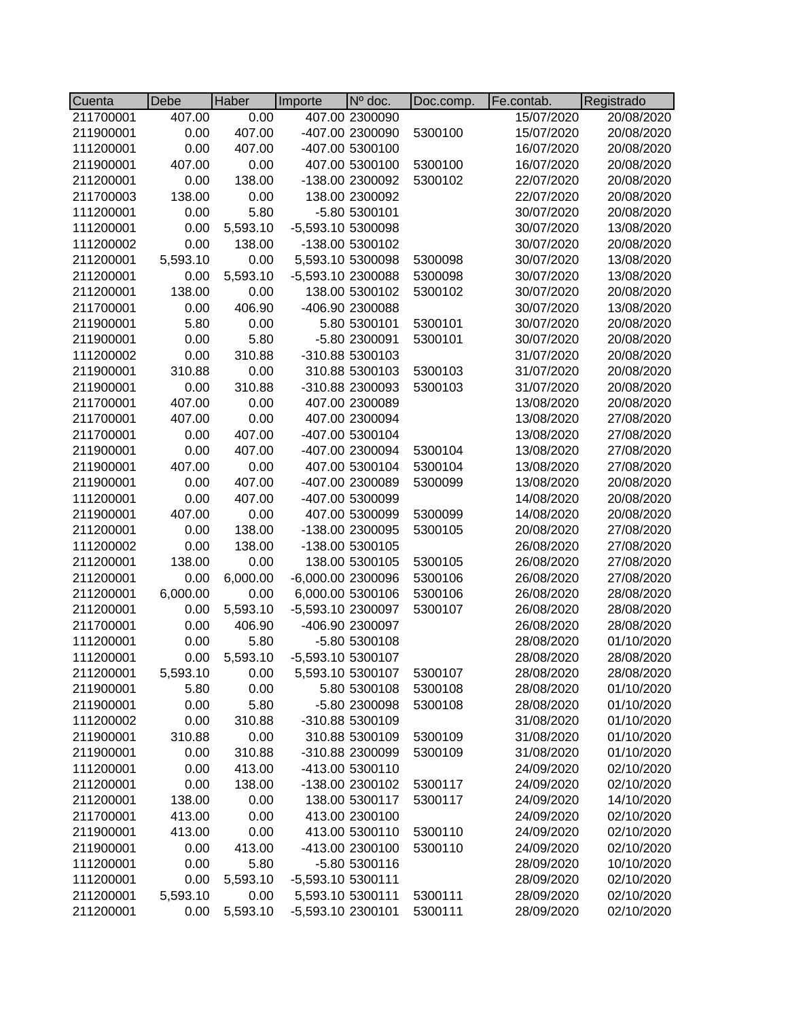| Cuenta    | Debe     | Haber    | Importe           | $No$ doc.        | Doc.comp. | Fe.contab. | Registrado |
|-----------|----------|----------|-------------------|------------------|-----------|------------|------------|
| 211700001 | 407.00   | 0.00     |                   | 407.00 2300090   |           | 15/07/2020 | 20/08/2020 |
| 211900001 | 0.00     | 407.00   |                   | -407.00 2300090  | 5300100   | 15/07/2020 | 20/08/2020 |
| 111200001 | 0.00     | 407.00   |                   | -407.00 5300100  |           | 16/07/2020 | 20/08/2020 |
| 211900001 | 407.00   | 0.00     |                   | 407.00 5300100   | 5300100   | 16/07/2020 | 20/08/2020 |
| 211200001 | 0.00     | 138.00   |                   | -138.00 2300092  | 5300102   | 22/07/2020 | 20/08/2020 |
| 211700003 | 138.00   | 0.00     |                   | 138.00 2300092   |           | 22/07/2020 | 20/08/2020 |
| 111200001 | 0.00     | 5.80     |                   | -5.80 5300101    |           | 30/07/2020 | 20/08/2020 |
| 111200001 | 0.00     | 5,593.10 | -5,593.10 5300098 |                  |           | 30/07/2020 | 13/08/2020 |
| 111200002 | 0.00     | 138.00   |                   | -138.00 5300102  |           | 30/07/2020 | 20/08/2020 |
| 211200001 | 5,593.10 | 0.00     |                   | 5,593.10 5300098 | 5300098   | 30/07/2020 | 13/08/2020 |
| 211200001 | 0.00     | 5,593.10 | -5,593.10 2300088 |                  | 5300098   | 30/07/2020 | 13/08/2020 |
| 211200001 | 138.00   | 0.00     |                   | 138.00 5300102   | 5300102   | 30/07/2020 | 20/08/2020 |
| 211700001 | 0.00     | 406.90   |                   | -406.90 2300088  |           | 30/07/2020 | 13/08/2020 |
| 211900001 | 5.80     | 0.00     |                   | 5.80 5300101     | 5300101   | 30/07/2020 | 20/08/2020 |
| 211900001 | 0.00     | 5.80     |                   | -5.80 2300091    | 5300101   | 30/07/2020 | 20/08/2020 |
| 111200002 | 0.00     | 310.88   |                   | -310.88 5300103  |           | 31/07/2020 | 20/08/2020 |
| 211900001 | 310.88   | 0.00     |                   | 310.88 5300103   | 5300103   | 31/07/2020 | 20/08/2020 |
| 211900001 | 0.00     | 310.88   |                   | -310.88 2300093  | 5300103   | 31/07/2020 | 20/08/2020 |
| 211700001 | 407.00   | 0.00     |                   | 407.00 2300089   |           | 13/08/2020 | 20/08/2020 |
| 211700001 | 407.00   | 0.00     |                   | 407.00 2300094   |           | 13/08/2020 | 27/08/2020 |
| 211700001 | 0.00     | 407.00   |                   | -407.00 5300104  |           | 13/08/2020 | 27/08/2020 |
| 211900001 | 0.00     | 407.00   |                   | -407.00 2300094  | 5300104   | 13/08/2020 | 27/08/2020 |
| 211900001 | 407.00   | 0.00     |                   | 407.00 5300104   | 5300104   | 13/08/2020 | 27/08/2020 |
| 211900001 | 0.00     | 407.00   |                   | -407.00 2300089  | 5300099   | 13/08/2020 | 20/08/2020 |
| 111200001 | 0.00     | 407.00   |                   | -407.00 5300099  |           | 14/08/2020 | 20/08/2020 |
| 211900001 | 407.00   | 0.00     |                   | 407.00 5300099   | 5300099   | 14/08/2020 | 20/08/2020 |
| 211200001 | 0.00     | 138.00   |                   | -138.00 2300095  | 5300105   | 20/08/2020 | 27/08/2020 |
| 111200002 | 0.00     | 138.00   |                   | -138.00 5300105  |           | 26/08/2020 | 27/08/2020 |
| 211200001 | 138.00   | 0.00     |                   | 138.00 5300105   | 5300105   | 26/08/2020 | 27/08/2020 |
| 211200001 | 0.00     | 6,000.00 | -6,000.00 2300096 |                  | 5300106   | 26/08/2020 | 27/08/2020 |
| 211200001 | 6,000.00 | 0.00     |                   | 6,000.00 5300106 | 5300106   | 26/08/2020 | 28/08/2020 |
| 211200001 | 0.00     | 5,593.10 | -5,593.10 2300097 |                  | 5300107   | 26/08/2020 | 28/08/2020 |
| 211700001 | 0.00     | 406.90   |                   | -406.90 2300097  |           | 26/08/2020 | 28/08/2020 |
| 111200001 | 0.00     | 5.80     |                   | -5.80 5300108    |           | 28/08/2020 | 01/10/2020 |
| 111200001 | 0.00     | 5,593.10 | -5,593.10 5300107 |                  |           | 28/08/2020 | 28/08/2020 |
| 211200001 | 5,593.10 | 0.00     |                   | 5,593.10 5300107 | 5300107   | 28/08/2020 | 28/08/2020 |
| 211900001 | 5.80     | 0.00     |                   | 5.80 5300108     | 5300108   | 28/08/2020 | 01/10/2020 |
| 211900001 | 0.00     | 5.80     |                   | -5.80 2300098    | 5300108   | 28/08/2020 | 01/10/2020 |
| 111200002 | 0.00     | 310.88   |                   | -310.88 5300109  |           | 31/08/2020 | 01/10/2020 |
| 211900001 | 310.88   | 0.00     |                   | 310.88 5300109   | 5300109   | 31/08/2020 | 01/10/2020 |
| 211900001 | 0.00     | 310.88   |                   | -310.88 2300099  | 5300109   | 31/08/2020 | 01/10/2020 |
| 111200001 | 0.00     | 413.00   |                   | -413.00 5300110  |           | 24/09/2020 | 02/10/2020 |
| 211200001 | 0.00     | 138.00   |                   | -138.00 2300102  | 5300117   | 24/09/2020 | 02/10/2020 |
| 211200001 | 138.00   | 0.00     |                   | 138.00 5300117   | 5300117   | 24/09/2020 | 14/10/2020 |
| 211700001 | 413.00   | 0.00     |                   | 413.00 2300100   |           | 24/09/2020 | 02/10/2020 |
| 211900001 | 413.00   | 0.00     |                   | 413.00 5300110   | 5300110   | 24/09/2020 | 02/10/2020 |
| 211900001 | 0.00     | 413.00   |                   | -413.00 2300100  | 5300110   | 24/09/2020 | 02/10/2020 |
| 111200001 | 0.00     | 5.80     |                   | -5.80 5300116    |           | 28/09/2020 | 10/10/2020 |
| 111200001 | 0.00     | 5,593.10 | -5,593.10 5300111 |                  |           | 28/09/2020 | 02/10/2020 |
| 211200001 | 5,593.10 | 0.00     | 5,593.10 5300111  |                  | 5300111   | 28/09/2020 | 02/10/2020 |
| 211200001 | 0.00     | 5,593.10 | -5,593.10 2300101 |                  | 5300111   | 28/09/2020 | 02/10/2020 |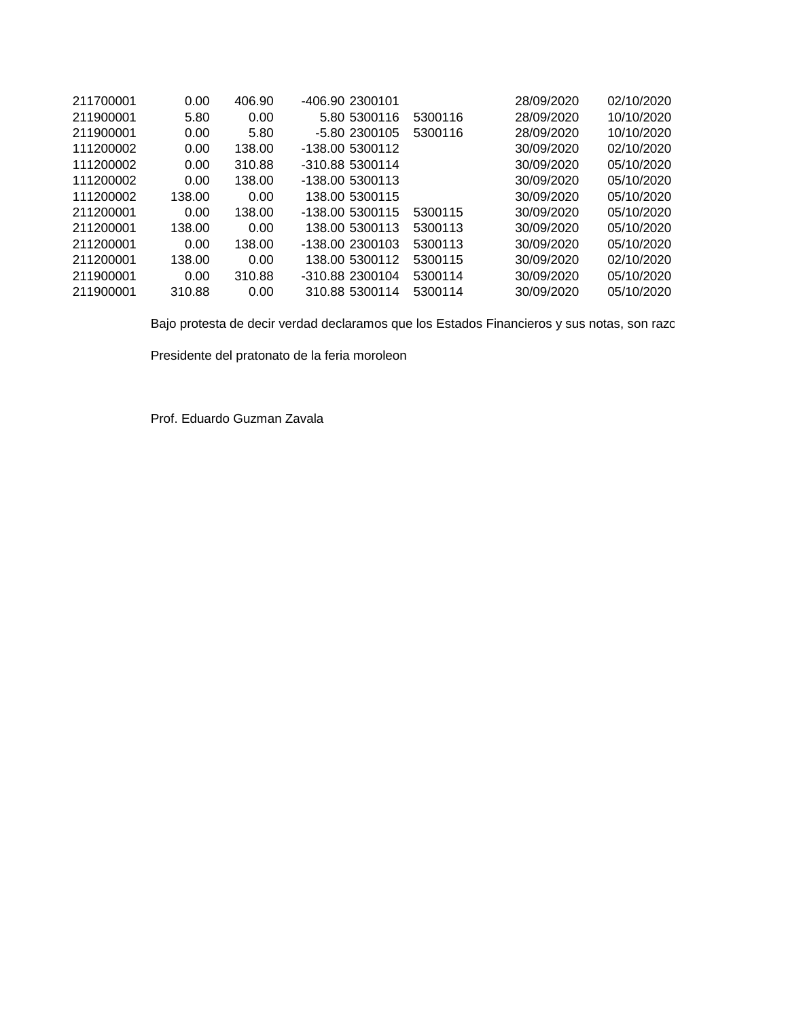| 211700001 | 0.00   | 406.90 | -406.90 2300101 |         | 28/09/2020 | 02/10/2020 |
|-----------|--------|--------|-----------------|---------|------------|------------|
| 211900001 | 5.80   | 0.00   | 5.80 5300116    | 5300116 | 28/09/2020 | 10/10/2020 |
| 211900001 | 0.00   | 5.80   | -5.80 2300105   | 5300116 | 28/09/2020 | 10/10/2020 |
| 111200002 | 0.00   | 138.00 | -138.00 5300112 |         | 30/09/2020 | 02/10/2020 |
| 111200002 | 0.00   | 310.88 | -310.88 5300114 |         | 30/09/2020 | 05/10/2020 |
| 111200002 | 0.00   | 138.00 | -138.00 5300113 |         | 30/09/2020 | 05/10/2020 |
| 111200002 | 138.00 | 0.00   | 138.00 5300115  |         | 30/09/2020 | 05/10/2020 |
| 211200001 | 0.00   | 138.00 | -138.00 5300115 | 5300115 | 30/09/2020 | 05/10/2020 |
| 211200001 | 138.00 | 0.00   | 138.00 5300113  | 5300113 | 30/09/2020 | 05/10/2020 |
| 211200001 | 0.00   | 138.00 | -138.00 2300103 | 5300113 | 30/09/2020 | 05/10/2020 |
| 211200001 | 138.00 | 0.00   | 138.00 5300112  | 5300115 | 30/09/2020 | 02/10/2020 |
| 211900001 | 0.00   | 310.88 | -310.88 2300104 | 5300114 | 30/09/2020 | 05/10/2020 |
| 211900001 | 310.88 | 0.00   | 310.88 5300114  | 5300114 | 30/09/2020 | 05/10/2020 |

Bajo protesta de decir verdad declaramos que los Estados Financieros y sus notas, son razo

Presidente del pratonato de la feria moroleon

Prof. Eduardo Guzman Zavala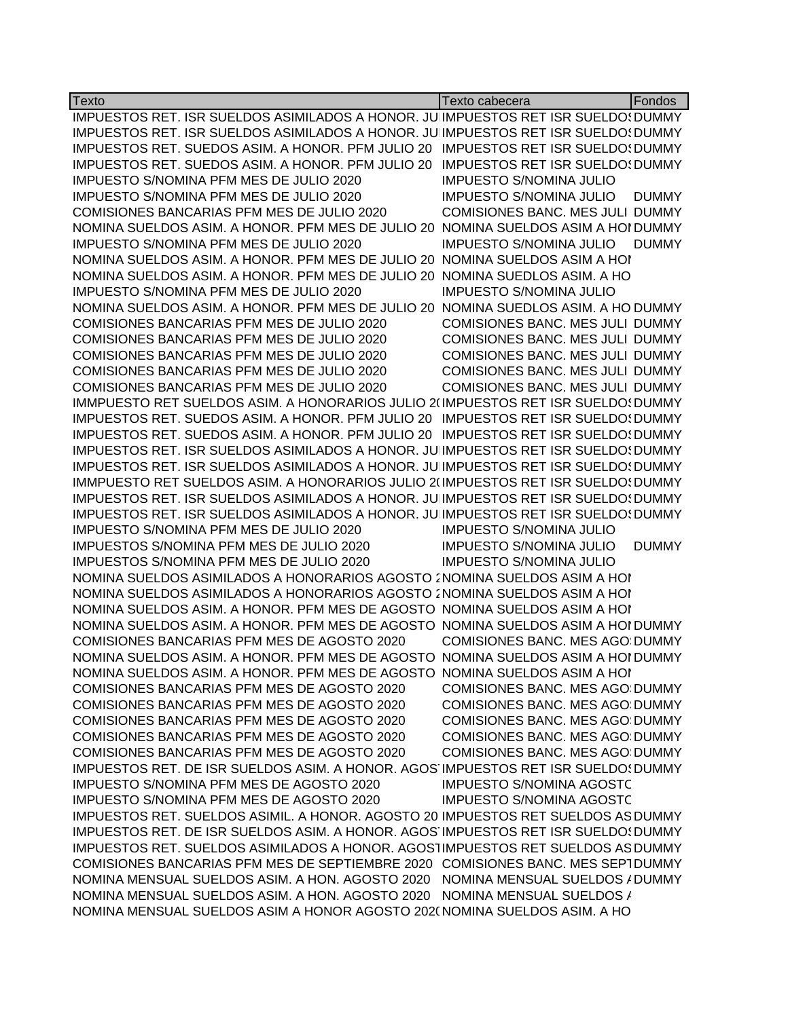| Texto                                                                                      | Texto cabecera                                                          | Fondos       |
|--------------------------------------------------------------------------------------------|-------------------------------------------------------------------------|--------------|
| IMPUESTOS RET. ISR SUELDOS ASIMILADOS A HONOR. JU IMPUESTOS RET ISR SUELDOS DUMMY          |                                                                         |              |
| IMPUESTOS RET. ISR SUELDOS ASIMILADOS A HONOR. JU IMPUESTOS RET ISR SUELDOS DUMMY          |                                                                         |              |
| IMPUESTOS RET. SUEDOS ASIM. A HONOR. PFM JULIO 20 IMPUESTOS RET ISR SUELDOS DUMMY          |                                                                         |              |
| IMPUESTOS RET. SUEDOS ASIM. A HONOR. PFM JULIO 20                                          | <b>IMPUESTOS RET ISR SUELDO DUMMY</b>                                   |              |
| IMPUESTO S/NOMINA PFM MES DE JULIO 2020                                                    | <b>IMPUESTO S/NOMINA JULIO</b>                                          |              |
| IMPUESTO S/NOMINA PFM MES DE JULIO 2020                                                    | <b>IMPUESTO S/NOMINA JULIO</b>                                          | <b>DUMMY</b> |
| COMISIONES BANCARIAS PFM MES DE JULIO 2020                                                 | COMISIONES BANC. MES JULI DUMMY                                         |              |
| NOMINA SUELDOS ASIM. A HONOR. PFM MES DE JULIO 20 NOMINA SUELDOS ASIM A HOI DUMMY          |                                                                         |              |
| IMPUESTO S/NOMINA PFM MES DE JULIO 2020                                                    | <b>IMPUESTO S/NOMINA JULIO</b>                                          | <b>DUMMY</b> |
| NOMINA SUELDOS ASIM. A HONOR. PFM MES DE JULIO 20 NOMINA SUELDOS ASIM A HOI                |                                                                         |              |
| NOMINA SUELDOS ASIM. A HONOR. PFM MES DE JULIO 20 NOMINA SUEDLOS ASIM. A HO                |                                                                         |              |
| IMPUESTO S/NOMINA PFM MES DE JULIO 2020                                                    | <b>IMPUESTO S/NOMINA JULIO</b>                                          |              |
| NOMINA SUELDOS ASIM. A HONOR. PFM MES DE JULIO 20 NOMINA SUEDLOS ASIM. A HO DUMMY          |                                                                         |              |
| COMISIONES BANCARIAS PFM MES DE JULIO 2020                                                 | COMISIONES BANC. MES JULI DUMMY                                         |              |
| COMISIONES BANCARIAS PFM MES DE JULIO 2020                                                 | COMISIONES BANC. MES JULI DUMMY                                         |              |
| COMISIONES BANCARIAS PFM MES DE JULIO 2020                                                 | <b>COMISIONES BANC. MES JULI DUMMY</b>                                  |              |
| COMISIONES BANCARIAS PFM MES DE JULIO 2020                                                 | <b>COMISIONES BANC. MES JULI DUMMY</b>                                  |              |
| COMISIONES BANCARIAS PFM MES DE JULIO 2020                                                 | COMISIONES BANC. MES JULI DUMMY                                         |              |
| IMMPUESTO RET SUELDOS ASIM. A HONORARIOS JULIO 2(IMPUESTOS RET ISR SUELDO: DUMMY           |                                                                         |              |
| IMPUESTOS RET. SUEDOS ASIM. A HONOR. PFM JULIO 20 IMPUESTOS RET ISR SUELDO! DUMMY          |                                                                         |              |
| IMPUESTOS RET. SUEDOS ASIM. A HONOR. PFM JULIO 20 IMPUESTOS RET ISR SUELDO! DUMMY          |                                                                         |              |
| IMPUESTOS RET. ISR SUELDOS ASIMILADOS A HONOR. JU IMPUESTOS RET ISR SUELDO: DUMMY          |                                                                         |              |
| IMPUESTOS RET. ISR SUELDOS ASIMILADOS A HONOR. JU IMPUESTOS RET ISR SUELDO! DUMMY          |                                                                         |              |
| IMMPUESTO RET SUELDOS ASIM. A HONORARIOS JULIO 2(IMPUESTOS RET ISR SUELDO: DUMMY           |                                                                         |              |
| IMPUESTOS RET. ISR SUELDOS ASIMILADOS A HONOR. JU IMPUESTOS RET ISR SUELDOS DUMMY          |                                                                         |              |
| IMPUESTOS RET. ISR SUELDOS ASIMILADOS A HONOR. JU IMPUESTOS RET ISR SUELDOS DUMMY          |                                                                         |              |
| IMPUESTO S/NOMINA PFM MES DE JULIO 2020                                                    | <b>IMPUESTO S/NOMINA JULIO</b>                                          |              |
| IMPUESTOS S/NOMINA PFM MES DE JULIO 2020                                                   | <b>IMPUESTO S/NOMINA JULIO</b>                                          | <b>DUMMY</b> |
| IMPUESTOS S/NOMINA PFM MES DE JULIO 2020                                                   | <b>IMPUESTO S/NOMINA JULIO</b>                                          |              |
| NOMINA SUELDOS ASIMILADOS A HONORARIOS AGOSTO 2 NOMINA SUELDOS ASIM A HOI                  |                                                                         |              |
| NOMINA SUELDOS ASIMILADOS A HONORARIOS AGOSTO 2 NOMINA SUELDOS ASIM A HOI                  |                                                                         |              |
| NOMINA SUELDOS ASIM. A HONOR. PFM MES DE AGOSTO NOMINA SUELDOS ASIM A HOI                  |                                                                         |              |
| NOMINA SUELDOS ASIM. A HONOR. PFM MES DE AGOSTO NOMINA SUELDOS ASIM A HOI DUMMY            |                                                                         |              |
| COMISIONES BANCARIAS PFM MES DE AGOSTO 2020                                                | <b>COMISIONES BANC. MES AGO DUMMY</b>                                   |              |
| NOMINA SUELDOS ASIM. A HONOR. PFM MES DE AGOSTO NOMINA SUELDOS ASIM A HOI DUMMY            |                                                                         |              |
| NOMINA SUELDOS ASIM. A HONOR. PFM MES DE AGOSTO NOMINA SUELDOS ASIM A HOI                  |                                                                         |              |
| COMISIONES BANCARIAS PFM MES DE AGOSTO 2020                                                | COMISIONES BANC. MES AGO DUMMY                                          |              |
| COMISIONES BANCARIAS PFM MES DE AGOSTO 2020                                                | <b>COMISIONES BANC. MES AGO DUMMY</b>                                   |              |
| COMISIONES BANCARIAS PFM MES DE AGOSTO 2020<br>COMISIONES BANCARIAS PFM MES DE AGOSTO 2020 | COMISIONES BANC. MES AGO DUMMY                                          |              |
| COMISIONES BANCARIAS PFM MES DE AGOSTO 2020                                                | COMISIONES BANC. MES AGO DUMMY<br><b>COMISIONES BANC. MES AGO DUMMY</b> |              |
| IMPUESTOS RET. DE ISR SUELDOS ASIM. A HONOR. AGOS IMPUESTOS RET ISR SUELDOS DUMMY          |                                                                         |              |
| IMPUESTO S/NOMINA PFM MES DE AGOSTO 2020                                                   | <b>IMPUESTO S/NOMINA AGOSTC</b>                                         |              |
| IMPUESTO S/NOMINA PFM MES DE AGOSTO 2020                                                   | <b>IMPUESTO S/NOMINA AGOSTC</b>                                         |              |
| IMPUESTOS RET. SUELDOS ASIMIL. A HONOR. AGOSTO 20 IMPUESTOS RET SUELDOS AS DUMMY           |                                                                         |              |
| IMPUESTOS RET. DE ISR SUELDOS ASIM. A HONOR. AGOS IMPUESTOS RET ISR SUELDOS DUMMY          |                                                                         |              |
| IMPUESTOS RET. SUELDOS ASIMILADOS A HONOR. AGOS1IMPUESTOS RET SUELDOS AS DUMMY             |                                                                         |              |
| COMISIONES BANCARIAS PFM MES DE SEPTIEMBRE 2020 COMISIONES BANC. MES SEPTDUMMY             |                                                                         |              |
| NOMINA MENSUAL SUELDOS ASIM. A HON. AGOSTO 2020 NOMINA MENSUAL SUELDOS / DUMMY             |                                                                         |              |
| NOMINA MENSUAL SUELDOS ASIM. A HON. AGOSTO 2020 NOMINA MENSUAL SUELDOS /                   |                                                                         |              |
| NOMINA MENSUAL SUELDOS ASIM A HONOR AGOSTO 202(NOMINA SUELDOS ASIM. A HO                   |                                                                         |              |
|                                                                                            |                                                                         |              |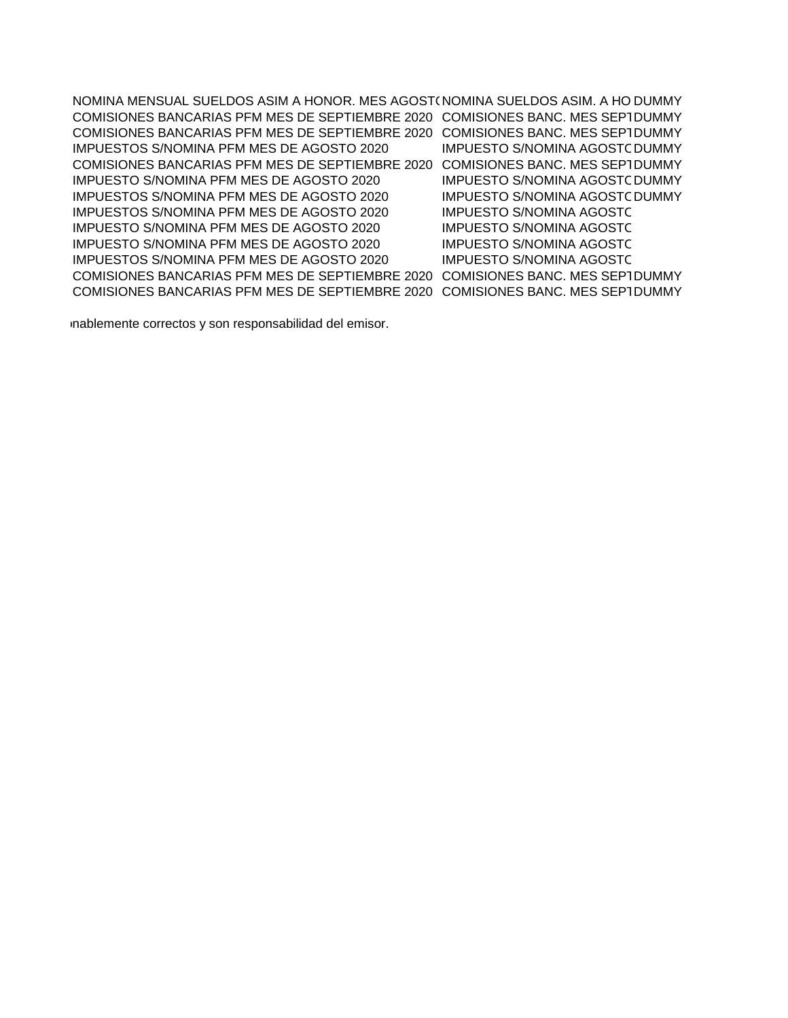NOMINA MENSUAL SUELDOS ASIM A HONOR. MES AGOST(NOMINA SUELDOS ASIM. A HO DUMMY COMISIONES BANCARIAS PFM MES DE SEPTIEMBRE 2020 COMISIONES BANC. MES SEPTDUMMY COMISIONES BANCARIAS PFM MES DE SEPTIEMBRE 2020 COMISIONES BANC. MES SEPTDUMMY IMPUESTOS S/NOMINA PFM MES DE AGOSTO 2020 IMPUESTO S/NOMINA AGOSTODUMMY COMISIONES BANCARIAS PFM MES DE SEPTIEMBRE 2020 COMISIONES BANC. MES SEPTDUMMY IMPUESTO S/NOMINA PFM MES DE AGOSTO 2020 IMPUESTO S/NOMINA AGOSTODUMMY IMPUESTOS S/NOMINA PFM MES DE AGOSTO 2020 IMPUESTO S/NOMINA AGOSTODUMMY IMPUESTOS S/NOMINA PFM MES DE AGOSTO 2020 IMPUESTO S/NOMINA AGOSTO IMPUESTO S/NOMINA PFM MES DE AGOSTO 2020 IMPUESTO S/NOMINA AGOSTO IMPUESTO S/NOMINA PFM MES DE AGOSTO 2020 IMPUESTO S/NOMINA AGOSTO IMPUESTOS S/NOMINA PFM MES DE AGOSTO 2020 IMPUESTO S/NOMINA AGOSTO COMISIONES BANCARIAS PFM MES DE SEPTIEMBRE 2020 COMISIONES BANC. MES SEPTDUMMY COMISIONES BANCARIAS PFM MES DE SEPTIEMBRE 2020 COMISIONES BANC. MES SEPTDUMMY

inablemente correctos y son responsabilidad del emisor.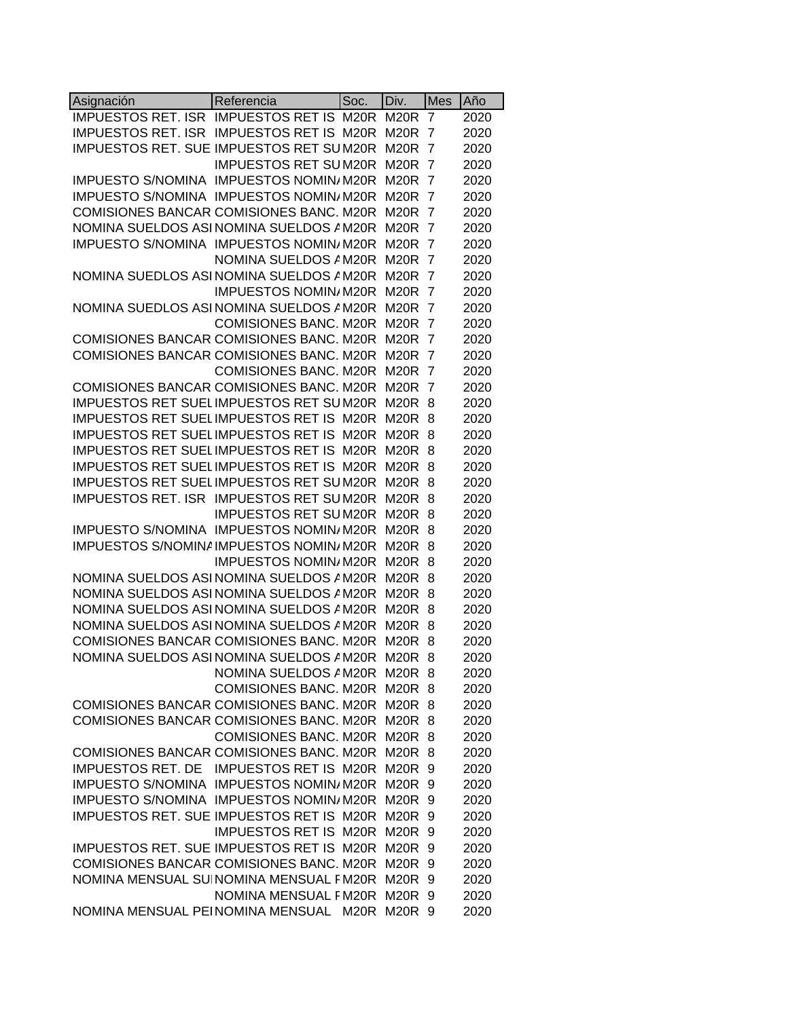| Asignación                                      | Referencia                   | Soc. | Div.              | <b>Mes</b>     | Año  |
|-------------------------------------------------|------------------------------|------|-------------------|----------------|------|
| <b>IMPUESTOS RET. ISR</b>                       | <b>IMPUESTOS RET IS M20R</b> |      | M <sub>20</sub> R | 7              | 2020 |
| <b>IMPUESTOS RET. ISR</b>                       | <b>IMPUESTOS RET IS M20R</b> |      | M <sub>20</sub> R | 7              | 2020 |
| IMPUESTOS RET. SUE IMPUESTOS RET SUM20R         |                              |      | M <sub>20</sub> R | 7              | 2020 |
|                                                 | <b>IMPUESTOS RET SUM20R</b>  |      | <b>M20R</b>       | 7              | 2020 |
| IMPUESTO S/NOMINA IMPUESTOS NOMIN/ M20R         |                              |      | <b>M20R</b>       | 7              | 2020 |
| <b>IMPUESTO S/NOMINA</b>                        | <b>IMPUESTOS NOMIN/M20R</b>  |      | <b>M20R</b>       | 7              | 2020 |
| COMISIONES BANCAR COMISIONES BANC. M20R         |                              |      | <b>M20R</b>       | 7              | 2020 |
| NOMINA SUELDOS ASI NOMINA SUELDOS AM20R         |                              |      | M <sub>20</sub> R | 7              | 2020 |
| IMPUESTO S/NOMINA IMPUESTOS NOMIN/ M20R         |                              |      | <b>M20R</b>       | 7              | 2020 |
|                                                 | NOMINA SUELDOS A M20R        |      | <b>M20R</b>       | 7              | 2020 |
| NOMINA SUEDLOS ASI NOMINA SUELDOS A M20R        |                              |      | M <sub>20</sub> R | 7              | 2020 |
|                                                 | IMPUESTOS NOMIN/M20R         |      | M <sub>20</sub> R | 7              | 2020 |
| NOMINA SUEDLOS ASI NOMINA SUELDOS A M20R        |                              |      | M <sub>20</sub> R | 7              | 2020 |
|                                                 | <b>COMISIONES BANC. M20R</b> |      | M <sub>20</sub> R | 7              | 2020 |
| COMISIONES BANCAR COMISIONES BANC. M20R         |                              |      | M <sub>20</sub> R | 7              | 2020 |
| COMISIONES BANCAR COMISIONES BANC. M20R         |                              |      | <b>M20R</b>       | $\overline{7}$ | 2020 |
|                                                 | <b>COMISIONES BANC. M20R</b> |      | M <sub>20R</sub>  | 7              | 2020 |
| <b>COMISIONES BANCAR COMISIONES BANC. M20R</b>  |                              |      | M <sub>20</sub> R | 7              | 2020 |
| <b>IMPUESTOS RET SUEL IMPUESTOS RET SUM20R</b>  |                              |      | M <sub>20</sub> R | 8              | 2020 |
| IMPUESTOS RET SUEL IMPUESTOS RET IS M20R        |                              |      | <b>M20R</b>       | 8              | 2020 |
| IMPUESTOS RET SUEL IMPUESTOS RET IS M20R        |                              |      | M <sub>20</sub> R | 8              | 2020 |
| IMPUESTOS RET SUEL IMPUESTOS RET IS M20R        |                              |      | M <sub>20</sub> R | 8              | 2020 |
| IMPUESTOS RET SUEL IMPUESTOS RET IS M20R        |                              |      | M <sub>20</sub> R | 8              | 2020 |
| <b>IMPUESTOS RET SUEL IMPUESTOS RET SUM20R</b>  |                              |      | M <sub>20</sub> R | 8              | 2020 |
| IMPUESTOS RET. ISR IMPUESTOS RET SUM20R         |                              |      | <b>M20R</b>       | 8              | 2020 |
|                                                 | <b>IMPUESTOS RET SUM20R</b>  |      | <b>M20R</b>       | 8              | 2020 |
| IMPUESTO S/NOMINA IMPUESTOS NOMIN/ M20R         |                              |      | M <sub>20</sub> R | 8              | 2020 |
| IMPUESTOS S/NOMINA IMPUESTOS NOMIN/ M20R        |                              |      | M <sub>20</sub> R | 8              | 2020 |
|                                                 | IMPUESTOS NOMIN/M20R         |      | <b>M20R</b>       | 8              | 2020 |
| NOMINA SUELDOS ASI NOMINA SUELDOS AM20R         |                              |      | M <sub>20</sub> R | 8              | 2020 |
| NOMINA SUELDOS ASI NOMINA SUELDOS A M20R        |                              |      | M <sub>20</sub> R | 8              | 2020 |
| NOMINA SUELDOS ASI NOMINA SUELDOS AM20R         |                              |      | <b>M20R</b>       | 8              | 2020 |
| NOMINA SUELDOS ASI NOMINA SUELDOS AM20R         |                              |      | <b>M20R</b>       | 8              | 2020 |
| COMISIONES BANCAR COMISIONES BANC. M20R         |                              |      | <b>M20R</b>       | 8              | 2020 |
| NOMINA SUELDOS ASI NOMINA SUELDOS A M20R        |                              |      | M <sub>20</sub> R | 8              | 2020 |
|                                                 | NOMINA SUELDOS A M20R        |      | M20R              | 8              | 2020 |
|                                                 | <b>COMISIONES BANC. M20R</b> |      | M <sub>20</sub> R | 8              | 2020 |
| COMISIONES BANCAR COMISIONES BANC. M20R         |                              |      | M20R              | 8              | 2020 |
| COMISIONES BANCAR COMISIONES BANC. M20R         |                              |      | M20R              | 8              | 2020 |
|                                                 | <b>COMISIONES BANC, M20R</b> |      | M20R              | 8              | 2020 |
| <b>COMISIONES BANCAR COMISIONES BANC, M20R</b>  |                              |      | M20R              | 8              | 2020 |
| IMPUESTOS RET. DE IMPUESTOS RET IS M20R         |                              |      | M20R              | 9              | 2020 |
| IMPUESTO S/NOMINA IMPUESTOS NOMIN/M20R          |                              |      | M20R              | 9              | 2020 |
| IMPUESTO S/NOMINA IMPUESTOS NOMIN/ M20R M20R 9  |                              |      |                   |                | 2020 |
| IMPUESTOS RET. SUE IMPUESTOS RET IS M20R M20R 9 |                              |      |                   |                | 2020 |
|                                                 | <b>IMPUESTOS RET IS M20R</b> |      | M20R              | 9              | 2020 |
| IMPUESTOS RET. SUE IMPUESTOS RET IS M20R        |                              |      | M20R              | 9              | 2020 |
| COMISIONES BANCAR COMISIONES BANC. M20R         |                              |      | <b>M20R</b>       | 9              | 2020 |
| NOMINA MENSUAL SUINOMINA MENSUAL FM20R          |                              |      | M <sub>20</sub> R | 9              | 2020 |
|                                                 | NOMINA MENSUAL FM20R         |      | M <sub>20</sub> R | 9              | 2020 |
| NOMINA MENSUAL PEINOMINA MENSUAL M20R           |                              |      | M <sub>20</sub> R | - 9            | 2020 |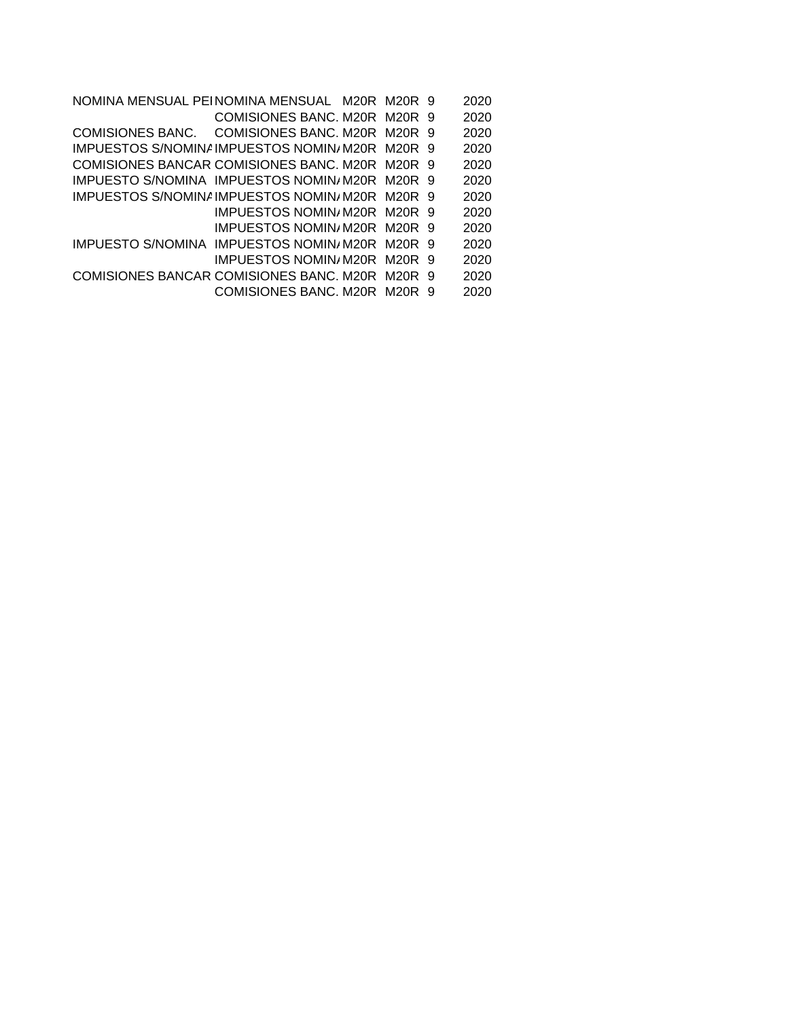NOMINA MENSUAL PEINOMINA MENSUAL M20R M20R 9 2020 COMISIONES BANC. M20R M20R 9 2020 COMISIONES BANC. COMISIONES BANC. M20R M20R 9 2020 IMPUESTOS S/NOMINAIMPUESTOS NOMINAM20R M20R 9 2020 COMISIONES BANCAR COMISIONES BANC. M20R M20R 9 2020 IMPUESTO S/NOMINA IMPUESTOS NOMIN/M20R M20R 9 2020 IMPUESTOS S/NOMINAIMPUESTOS NOMINAM20R M20R 9 2020 IMPUESTOS NOMIN/M20R M20R 9 2020 IMPUESTOS NOMIN/M20R M20R 9 2020 IMPUESTO S/NOMINA IMPUESTOS NOMIN/M20R M20R 9 2020 IMPUESTOS NOMIN/M20R M20R 9 2020 COMISIONES BANCAR COMISIONES BANC. M20R M20R 9 2020 COMISIONES BANC. M20R M20R 9 2020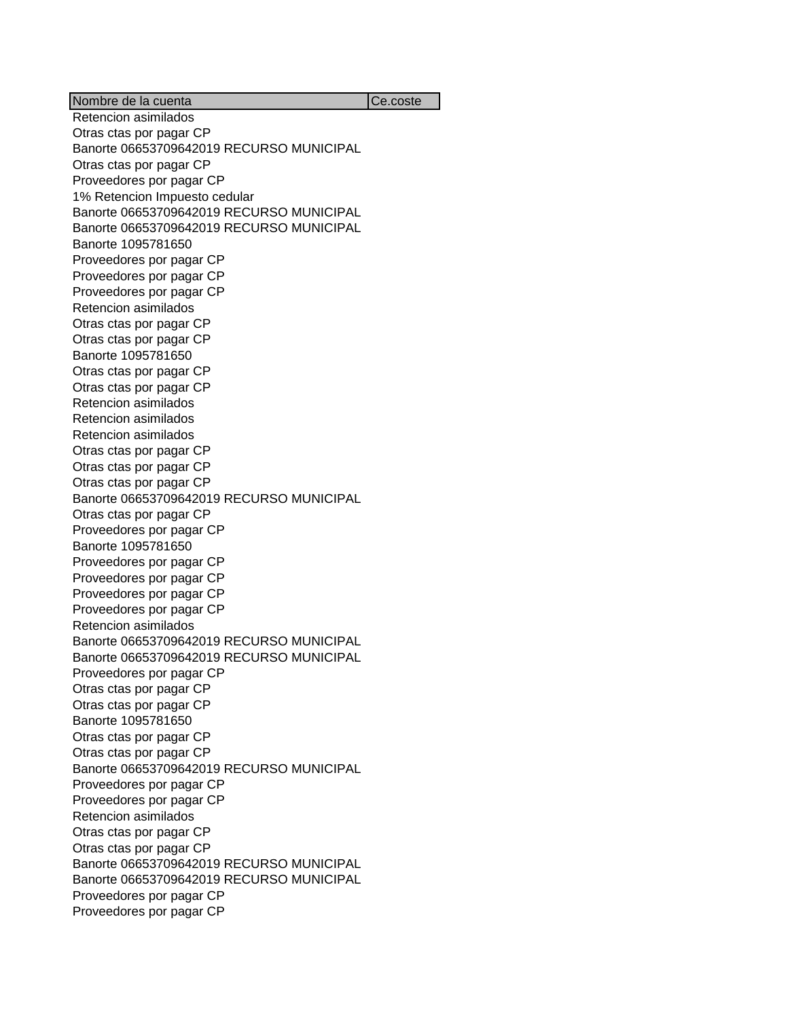Nombre de la cuenta Ce.coste Retencion asimilados Otras ctas por pagar CP Banorte 06653709642019 RECURSO MUNICIPAL Otras ctas por pagar CP Proveedores por pagar CP 1% Retencion Impuesto cedular Banorte 06653709642019 RECURSO MUNICIPAL Banorte 06653709642019 RECURSO MUNICIPAL Banorte 1095781650 Proveedores por pagar CP Proveedores por pagar CP Proveedores por pagar CP Retencion asimilados Otras ctas por pagar CP Otras ctas por pagar CP Banorte 1095781650 Otras ctas por pagar CP Otras ctas por pagar CP Retencion asimilados Retencion asimilados Retencion asimilados Otras ctas por pagar CP Otras ctas por pagar CP Otras ctas por pagar CP Banorte 06653709642019 RECURSO MUNICIPAL Otras ctas por pagar CP Proveedores por pagar CP Banorte 1095781650 Proveedores por pagar CP Proveedores por pagar CP Proveedores por pagar CP Proveedores por pagar CP Retencion asimilados Banorte 06653709642019 RECURSO MUNICIPAL Banorte 06653709642019 RECURSO MUNICIPAL Proveedores por pagar CP Otras ctas por pagar CP Otras ctas por pagar CP Banorte 1095781650 Otras ctas por pagar CP Otras ctas por pagar CP Banorte 06653709642019 RECURSO MUNICIPAL Proveedores por pagar CP Proveedores por pagar CP Retencion asimilados Otras ctas por pagar CP Otras ctas por pagar CP Banorte 06653709642019 RECURSO MUNICIPAL Banorte 06653709642019 RECURSO MUNICIPAL Proveedores por pagar CP Proveedores por pagar CP